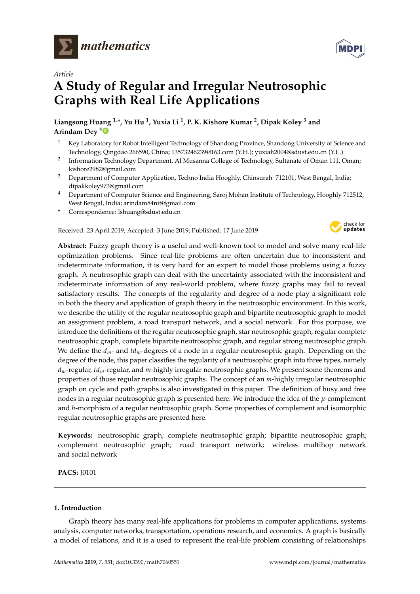



# **A Study of Regular and Irregular Neutrosophic Graphs with Real Life Applications**

**Liangsong Huang 1,\*, Yu Hu <sup>1</sup> , Yuxia Li <sup>1</sup> , P. K. Kishore Kumar <sup>2</sup> , Dipak Koley <sup>3</sup> and Arindam Dey [4](https://orcid.org/0000-0001-8204-7467)**

- <sup>1</sup> Key Laboratory for Robot Intelligent Technology of Shandong Province, Shandong University of Science and Technology, Qingdao 266590, China; 13573246239@163.com (Y.H.); yuxiali2004@sdust.edu.cn (Y.L.)
- 2 Information Technology Department, Al Musanna College of Technology, Sultanate of Oman 111, Oman; kishore2982@gmail.com
- <sup>3</sup> Department of Computer Application, Techno India Hooghly, Chinsurah 712101, West Bengal, India; dipakkoley973@gmail.com
- <sup>4</sup> Department of Computer Science and Engineering, Saroj Mohan Institute of Technology, Hooghly 712512, West Bengal, India; arindam84nit@gmail.com
- **\*** Correspondence: lshuang@sdust.edu.cn

Received: 23 April 2019; Accepted: 3 June 2019; Published: 17 June 2019



**Abstract:** Fuzzy graph theory is a useful and well-known tool to model and solve many real-life optimization problems. Since real-life problems are often uncertain due to inconsistent and indeterminate information, it is very hard for an expert to model those problems using a fuzzy graph. A neutrosophic graph can deal with the uncertainty associated with the inconsistent and indeterminate information of any real-world problem, where fuzzy graphs may fail to reveal satisfactory results. The concepts of the regularity and degree of a node play a significant role in both the theory and application of graph theory in the neutrosophic environment. In this work, we describe the utility of the regular neutrosophic graph and bipartite neutrosophic graph to model an assignment problem, a road transport network, and a social network. For this purpose, we introduce the definitions of the regular neutrosophic graph, star neutrosophic graph, regular complete neutrosophic graph, complete bipartite neutrosophic graph, and regular strong neutrosophic graph. We define the *dm*- and *tdm*-degrees of a node in a regular neutrosophic graph. Depending on the degree of the node, this paper classifies the regularity of a neutrosophic graph into three types, namely *dm*-regular, *tdm*-regular, and *m*-highly irregular neutrosophic graphs. We present some theorems and properties of those regular neutrosophic graphs. The concept of an *m*-highly irregular neutrosophic graph on cycle and path graphs is also investigated in this paper. The definition of busy and free nodes in a regular neutrosophic graph is presented here. We introduce the idea of the *µ*-complement and *h*-morphism of a regular neutrosophic graph. Some properties of complement and isomorphic regular neutrosophic graphs are presented here.

**Keywords:** neutrosophic graph; complete neutrosophic graph; bipartite neutrosophic graph; complement neutrosophic graph; road transport network; wireless multihop network and social network

**PACS:** J0101

# **1. Introduction**

Graph theory has many real-life applications for problems in computer applications, systems analysis, computer networks, transportation, operations research, and economics. A graph is basically a model of relations, and it is a used to represent the real-life problem consisting of relationships

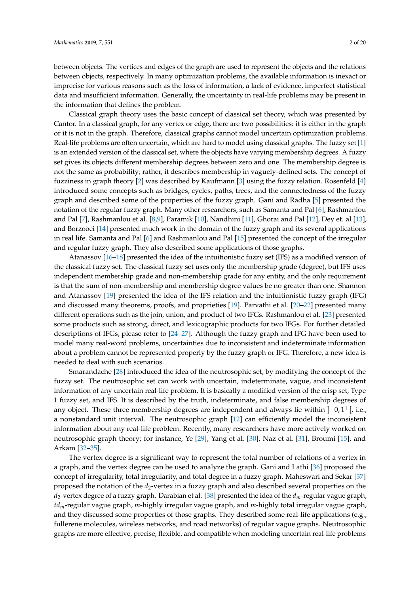between objects. The vertices and edges of the graph are used to represent the objects and the relations between objects, respectively. In many optimization problems, the available information is inexact or imprecise for various reasons such as the loss of information, a lack of evidence, imperfect statistical data and insufficient information. Generally, the uncertainty in real-life problems may be present in the information that defines the problem.

Classical graph theory uses the basic concept of classical set theory, which was presented by Cantor. In a classical graph, for any vertex or edge, there are two possibilities: it is either in the graph or it is not in the graph. Therefore, classical graphs cannot model uncertain optimization problems. Real-life problems are often uncertain, which are hard to model using classical graphs. The fuzzy set [\[1\]](#page-18-0) is an extended version of the classical set, where the objects have varying membership degrees. A fuzzy set gives its objects different membership degrees between zero and one. The membership degree is not the same as probability; rather, it describes membership in vaguely-defined sets. The concept of fuzziness in graph theory [\[2\]](#page-18-1) was described by Kaufmann [\[3\]](#page-18-2) using the fuzzy relation. Rosenfeld [\[4\]](#page-18-3) introduced some concepts such as bridges, cycles, paths, trees, and the connectedness of the fuzzy graph and described some of the properties of the fuzzy graph. Gani and Radha [\[5\]](#page-18-4) presented the notation of the regular fuzzy graph. Many other researchers, such as Samanta and Pal [\[6\]](#page-18-5), Rashmanlou and Pal [\[7\]](#page-18-6), Rashmanlou et al. [\[8](#page-18-7)[,9\]](#page-18-8), Paramik [\[10\]](#page-18-9), Nandhini [\[11\]](#page-18-10), Ghorai and Pal [\[12\]](#page-18-11), Dey et. al [\[13\]](#page-18-12), and Borzooei [\[14\]](#page-18-13) presented much work in the domain of the fuzzy graph and its several applications in real life. Samanta and Pal [\[6\]](#page-18-5) and Rashmanlou and Pal [\[15\]](#page-18-14) presented the concept of the irregular and regular fuzzy graph. They also described some applications of those graphs.

Atanassov [\[16](#page-18-15)[–18\]](#page-18-16) presented the idea of the intuitionistic fuzzy set (IFS) as a modified version of the classical fuzzy set. The classical fuzzy set uses only the membership grade (degree), but IFS uses independent membership grade and non-membership grade for any entity, and the only requirement is that the sum of non-membership and membership degree values be no greater than one. Shannon and Atanassov [\[19\]](#page-18-17) presented the idea of the IFS relation and the intuitionistic fuzzy graph (IFG) and discussed many theorems, proofs, and proprieties [\[19\]](#page-18-17). Parvathi et al. [\[20](#page-18-18)[–22\]](#page-18-19) presented many different operations such as the join, union, and product of two IFGs. Rashmanlou et al. [\[23\]](#page-18-20) presented some products such as strong, direct, and lexicographic products for two IFGs. For further detailed descriptions of IFGs, please refer to [\[24](#page-18-21)[–27\]](#page-18-22). Although the fuzzy graph and IFG have been used to model many real-word problems, uncertainties due to inconsistent and indeterminate information about a problem cannot be represented properly by the fuzzy graph or IFG. Therefore, a new idea is needed to deal with such scenarios.

Smarandache [\[28\]](#page-19-0) introduced the idea of the neutrosophic set, by modifying the concept of the fuzzy set. The neutrosophic set can work with uncertain, indeterminate, vague, and inconsistent information of any uncertain real-life problem. It is basically a modified version of the crisp set, Type 1 fuzzy set, and IFS. It is described by the truth, indeterminate, and false membership degrees of any object. These three membership degrees are independent and always lie within  $]$ <sup>-</sup>0,1<sup>+</sup>[, i.e., a nonstandard unit interval. The neutrosophic graph [\[12\]](#page-18-11) can efficiently model the inconsistent information about any real-life problem. Recently, many researchers have more actively worked on neutrosophic graph theory; for instance, Ye [\[29\]](#page-19-1), Yang et al. [\[30\]](#page-19-2), Naz et al. [\[31\]](#page-19-3), Broumi [\[15\]](#page-18-14), and Arkam [\[32–](#page-19-4)[35\]](#page-19-5).

The vertex degree is a significant way to represent the total number of relations of a vertex in a graph, and the vertex degree can be used to analyze the graph. Gani and Lathi [\[36\]](#page-19-6) proposed the concept of irregularity, total irregularity, and total degree in a fuzzy graph. Maheswari and Sekar [\[37\]](#page-19-7) proposed the notation of the *d*2-vertex in a fuzzy graph and also described several properties on the *d*2-vertex degree of a fuzzy graph. Darabian et al. [\[38\]](#page-19-8) presented the idea of the *dm*-regular vague graph, *tdm*-regular vague graph, *m*-highly irregular vague graph, and *m*-highly total irregular vague graph, and they discussed some properties of those graphs. They described some real-life applications (e.g., fullerene molecules, wireless networks, and road networks) of regular vague graphs. Neutrosophic graphs are more effective, precise, flexible, and compatible when modeling uncertain real-life problems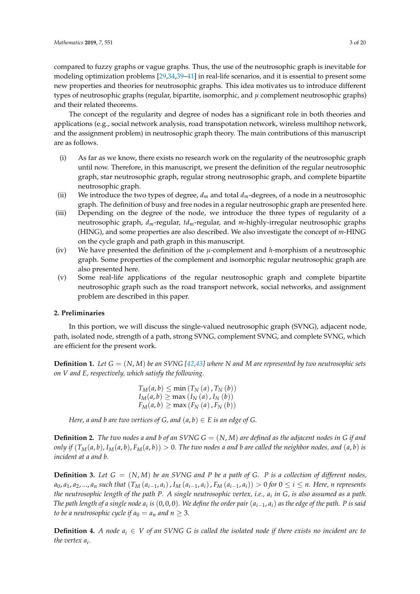compared to fuzzy graphs or vague graphs. Thus, the use of the neutrosophic graph is inevitable for modeling optimization problems [\[29,](#page-19-1)[34,](#page-19-9)[39–](#page-19-10)[41\]](#page-19-11) in real-life scenarios, and it is essential to present some new properties and theories for neutrosophic graphs. This idea motivates us to introduce different types of neutrosophic graphs (regular, bipartite, isomorphic, and *µ* complement neutrosophic graphs) and their related theorems.

The concept of the regularity and degree of nodes has a significant role in both theories and applications (e.g., social network analysis, road transpotation network, wireless multihop network, and the assignment problem) in neutrosophic graph theory. The main contributions of this manuscript are as follows.

- (i) As far as we know, there exists no research work on the regularity of the neutrosophic graph until now. Therefore, in this manuscript, we present the definition of the regular neutrosophic graph, star neutrosophic graph, regular strong neutrosophic graph, and complete bipartite neutrosophic graph.
- (ii) We introduce the two types of degree,  $d_m$  and total  $d_m$ -degrees, of a node in a neutrosophic graph. The definition of busy and free nodes in a regular neutrosophic graph are presented here.
- (iii) Depending on the degree of the node, we introduce the three types of regularity of a neutrosophic graph, *dm*-regular, *tdm*-regular, and *m*-highly-irregular neutrosophic graphs (HING), and some properties are also described. We also investigate the concept of *m*-HING on the cycle graph and path graph in this manuscript.
- (iv) We have presented the definition of the *µ*-complement and *h*-morphism of a neutrosophic graph. Some properties of the complement and isomorphic regular neutrosophic graph are also presented here.
- (v) Some real-life applications of the regular neutrosophic graph and complete bipartite neutrosophic graph such as the road transport network, social networks, and assignment problem are described in this paper.

# **2. Preliminaries**

In this portion, we will discuss the single-valued neutrosophic graph (SVNG), adjacent node, path, isolated node, strength of a path, strong SVNG, complement SVNG, and complete SVNG, which are efficient for the present work.

**Definition 1.** Let  $G = (N, M)$  be an SVNG [\[42,](#page-19-12)[43\]](#page-19-13) where N and M are represented by two neutrosophic sets *on V and E, respectively, which satisfy the following.*

$$
T_M(a, b) \le \min(T_N(a), T_N(b))
$$
  
\n
$$
I_M(a, b) \ge \max(I_N(a), I_N(b))
$$
  
\n
$$
F_M(a, b) \ge \max(F_N(a), F_N(b))
$$

*Here, a and b are two vertices of G, and*  $(a, b) \in E$  *is an edge of G.* 

**Definition 2.** The two nodes a and b of an SVNG  $G = (N, M)$  are defined as the adjacent nodes in G if and only if  $(T_M(a, b), I_M(a, b), F_M(a, b)) > 0$ . The two nodes a and b are called the neighbor nodes, and  $(a, b)$  is *incident at a and b.*

**Definition 3.** Let  $G = (N, M)$  be an SVNG and P be a path of G. P is a collection of different nodes,  $a_0,a_1,a_2,...,a_n$  such that  $(T_M(a_{i-1},a_i)$  ,  $I_M(a_{i-1},a_i)$  ,  $F_M(a_{i-1},a_i))>0$  for  $0\leq i\leq n.$  Here,  $n$  represents *the neutrosophic length of the path P. A single neutrosophic vertex, i.e., a<sup>i</sup> in G, is also assumed as a path. The path length of a single node a<sup>i</sup> is* (0, 0, 0)*. We define the order pair* (*ai*−<sup>1</sup> , *ai*) *as the edge of the path. P is said to be a neutrosophic cycle if*  $a_0 = a_n$  *and n*  $\geq 3$ *.* 

**Definition 4.** *A node*  $a_i \in V$  *of an SVNG G is called the isolated node if there exists no incident arc to the vertex a<sup>i</sup> .*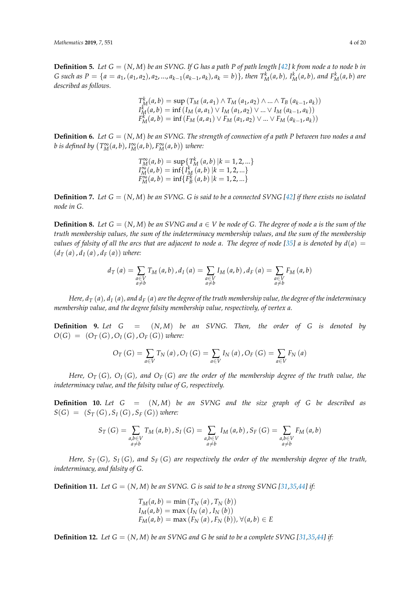**Definition 5.** Let  $G = (N, M)$  be an SVNG. If G has a path P of path length  $[42]$  k from node a to node b in G such as  $P = \{a = a_1, (a_1, a_2), a_2, ..., a_{k-1}(a_{k-1}, a_k), a_k = b\}$ , then  $T_M^k(a, b)$ ,  $I_M^k(a, b)$ , and  $F_M^k(a, b)$  are *described as follows.*

$$
T_{M}^{k}(a,b) = \sup (T_{M}(a,a_{1}) \wedge T_{M}(a_{1},a_{2}) \wedge ... \wedge T_{B}(a_{k-1},a_{k}))
$$
  
\n
$$
I_{M}^{k}(a,b) = \inf (I_{M}(a,a_{1}) \vee I_{M}(a_{1},a_{2}) \vee ... \vee I_{M}(a_{k-1},a_{k}))
$$
  
\n
$$
F_{M}^{k}(a,b) = \inf (F_{M}(a,a_{1}) \vee F_{M}(a_{1},a_{2}) \vee ... \vee F_{M}(a_{k-1},a_{k}))
$$

**Definition 6.** *Let G* = (*N*, *M*) *be an SVNG. The strength of connection of a path P between two nodes a and b* is defined by  $(T_M^{\infty}(a, b), I_M^{\infty}(a, b), F_M^{\infty}(a, b))$  where:

$$
T_M^{\infty}(a, b) = \sup \{ T_M^k(a, b) | k = 1, 2, ...\}
$$
  
\n
$$
I_M^{\infty}(a, b) = \inf \{ I_M^k(a, b) | k = 1, 2, ...\}
$$
  
\n
$$
F_M^{\infty}(a, b) = \inf \{ F_B^k(a, b) | k = 1, 2, ...\}
$$

**Definition 7.** Let  $G = (N, M)$  be an SVNG. G is said to be a connected SVNG [\[42\]](#page-19-12) if there exists no isolated *node in G.*

**Definition 8.** Let  $G = (N, M)$  be an SVNG and  $a \in V$  be node of G. The degree of node a is the sum of the *truth membership values, the sum of the indeterminacy membership values, and the sum of the membership values of falsity of all the arcs that are adjacent to node a. The degree of node [\[35\]](#page-19-5) a is denoted by*  $d(a) =$  $(d_T(a), d_I(a), d_F(a))$  *where:* 

$$
d_{T}(a) = \sum_{\substack{a \in V \\ a \neq b}} T_{M}(a,b), d_{I}(a) = \sum_{\substack{a \in V \\ a \neq b}} I_{M}(a,b), d_{F}(a) = \sum_{\substack{a \in V \\ a \neq b}} F_{M}(a,b)
$$

*Here,*  $d_T(a)$ ,  $d_I(a)$ , and  $d_F(a)$  are the degree of the truth membership value, the degree of the indeterminacy *membership value, and the degree falsity membership value, respectively, of vertex a.*

**Definition 9.** *Let G* = (*N*, *M*) *be an SVNG. Then, the order of G is denoted by*  $O(G) = (O_T(G), O_I(G), O_F(G))$  *where:* 

$$
O_T(G) = \sum_{a \in V} T_N(a), O_I(G) = \sum_{a \in V} I_N(a), O_F(G) = \sum_{a \in V} F_N(a)
$$

*Here, O<sup>T</sup>* (*G*)*, O<sup>I</sup>* (*G*)*, and O<sup>F</sup>* (*G*) *are the order of the membership degree of the truth value, the indeterminacy value, and the falsity value of G, respectively.*

**Definition 10.** *Let G* = (*N*, *M*) *be an SVNG and the size graph of G be described as*  $S(G) = (S_T(G), S_I(G), S_F(G))$  *where:* 

$$
S_{T}(G) = \sum_{\substack{a,b \in V \\ a \neq b}} T_{M}(a,b), S_{I}(G) = \sum_{\substack{a,b \in V \\ a \neq b}} I_{M}(a,b), S_{F}(G) = \sum_{\substack{a,b \in V \\ a \neq b}} F_{M}(a,b)
$$

*Here, S<sup>T</sup>* (*G*)*, S<sup>I</sup>* (*G*)*, and S<sup>F</sup>* (*G*) *are respectively the order of the membership degree of the truth, indeterminacy, and falsity of G.*

**Definition 11.** Let  $G = (N, M)$  be an SVNG. G is said to be a strong SVNG [\[31](#page-19-3)[,35](#page-19-5)[,44\]](#page-19-14) if:

$$
T_M(a, b) = \min(T_N(a), T_N(b))
$$
  
\n
$$
I_M(a, b) = \max(I_N(a), I_N(b))
$$
  
\n
$$
F_M(a, b) = \max(F_N(a), F_N(b)), \forall (a, b) \in E
$$

**Definition 12.** Let  $G = (N, M)$  be an SVNG and G be said to be a complete SVNG [\[31](#page-19-3)[,35](#page-19-5)[,44\]](#page-19-14) if: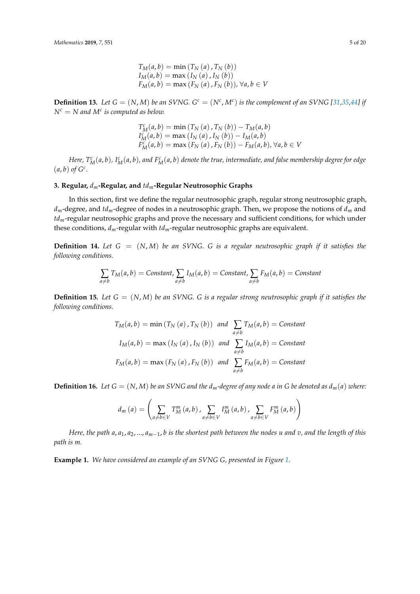$$
T_M(a, b) = \min(T_N(a), T_N(b))
$$
  
\n
$$
I_M(a, b) = \max(I_N(a), I_N(b))
$$
  
\n
$$
F_M(a, b) = \max(F_N(a), F_N(b)), \forall a, b \in V
$$

**Definition 13.** Let  $G = (N, M)$  be an SVNG.  $G<sup>c</sup> = (N<sup>c</sup>, M<sup>c</sup>)$  is the complement of an SVNG [\[31,](#page-19-3)[35,](#page-19-5)[44\]](#page-19-14) if  $N^c = N$  and  $M^c$  is computed as below.

$$
T_{M}^{c}(a, b) = \min (T_{N}(a), T_{N}(b)) - T_{M}(a, b)
$$
  
\n
$$
I_{M}^{c}(a, b) = \max (I_{N}(a), I_{N}(b)) - I_{M}(a, b)
$$
  
\n
$$
F_{M}^{c}(a, b) = \max (F_{N}(a), F_{N}(b)) - F_{M}(a, b), \forall a, b \in V
$$

Here,  $T_M^c(a,b)$ , I $_M^c(a,b)$ , and  $F_M^c(a,b)$  denote the true, intermediate, and false membership degree for edge  $(a, b)$  of  $G^c$ .

## **3. Regular,** *dm***-Regular, and** *tdm***-Regular Neutrosophic Graphs**

In this section, first we define the regular neutrosophic graph, regular strong neutrosophic graph, *dm*-degree, and *tdm*-degree of nodes in a neutrosophic graph. Then, we propose the notions of *d<sup>m</sup>* and *tdm*-regular neutrosophic graphs and prove the necessary and sufficient conditions, for which under these conditions, *dm*-regular with *tdm*-regular neutrosophic graphs are equivalent.

**Definition 14.** *Let G* = (*N*, *M*) *be an SVNG. G is a regular neutrosophic graph if it satisfies the following conditions.*

$$
\sum_{a \neq b} T_M(a, b) = \text{Constant}, \sum_{a \neq b} I_M(a, b) = \text{Constant}, \sum_{a \neq b} F_M(a, b) = \text{Constant}
$$

**Definition 15.** Let  $G = (N, M)$  be an SVNG. G is a regular strong neutrosophic graph if it satisfies the *following conditions.*

$$
T_M(a, b) = \min(T_N(a), T_N(b)) \text{ and } \sum_{a \neq b} T_M(a, b) = \text{Constant}
$$

$$
I_M(a, b) = \max(I_N(a), I_N(b)) \text{ and } \sum_{a \neq b} I_M(a, b) = \text{Constant}
$$

$$
F_M(a, b) = \max(F_N(a), F_N(b)) \text{ and } \sum_{a \neq b} F_M(a, b) = \text{Constant}
$$

**Definition 16.** Let  $G = (N, M)$  be an SVNG and the  $d_m$ -degree of any node a in G be denoted as  $d_m(a)$  where:

$$
d_m(a) = \left( \sum_{a \neq b \in V} T_M^m(a, b), \sum_{a \neq b \in V} I_M^m(a, b), \sum_{a \neq b \in V} F_M^m(a, b) \right)
$$

*Here, the path a*, *a*1, *a*2, ..., *am*−1, *b is the shortest path between the nodes u and v, and the length of this path is m.*

**Example 1.** *We have considered an example of an SVNG G, presented in Figure [1.](#page-5-0)*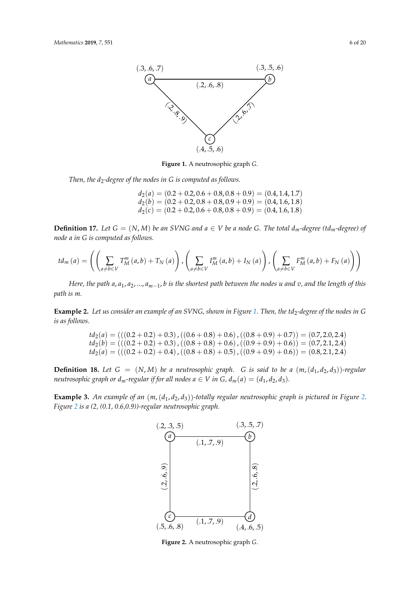<span id="page-5-0"></span>

**Figure 1.** A neutrosophic graph *G*.

*Then, the d<sub>2</sub>-degree of the nodes in G is computed as follows.* 

 $d_2(a) = (0.2 + 0.2, 0.6 + 0.8, 0.8 + 0.9) = (0.4, 1.4, 1.7)$  $d_2(b) = (0.2 + 0.2, 0.8 + 0.8, 0.9 + 0.9) = (0.4, 1.6, 1.8)$  $d_2(c) = (0.2 + 0.2, 0.6 + 0.8, 0.8 + 0.9) = (0.4, 1.6, 1.8)$ 

**Definition 17.** Let  $G = (N, M)$  be an SVNG and  $a \in V$  be a node G. The total  $d_m$ -degree (td<sub>m</sub>-degree) of *node a in G is computed as follows.*

$$
td_{m}(a) = \left( \left( \sum_{a \neq b \in V} T_{M}^{m}(a,b) + T_{N}(a) \right) \int \left( \sum_{a \neq b \in V} I_{M}^{m}(a,b) + I_{N}(a) \right) \int \left( \sum_{a \neq b \in V} F_{M}^{m}(a,b) + F_{N}(a) \right) \right)
$$

*Here, the path a*, *a*1, *a*2, ..., *am*−1, *b is the shortest path between the nodes u and v, and the length of this path is m.*

**Example 2.** *Let us consider an example of an SVNG, shown in Figure [1.](#page-5-0) Then, the td*2*-degree of the nodes in G is as follows.*

$$
td_2(a) = (((0.2 + 0.2) + 0.3), ((0.6 + 0.8) + 0.6), ((0.8 + 0.9) + 0.7)) = (0.7, 2.0, 2.4)
$$
  

$$
td_2(b) = (((0.2 + 0.2) + 0.3), ((0.8 + 0.8) + 0.6), ((0.9 + 0.9) + 0.6)) = (0.7, 2.1, 2.4)
$$
  

$$
td_2(a) = (((0.2 + 0.2) + 0.4), ((0.8 + 0.8) + 0.5), ((0.9 + 0.9) + 0.6)) = (0.8, 2.1, 2.4)
$$

**Definition 18.** Let  $G = (N, M)$  be a neutrosophic graph. G is said to be a  $(m, (d_1, d_2, d_3))$ -regular *neutrosophic graph or*  $d_m$ *-regular if for all nodes*  $a \in V$  *in*  $G$ *,*  $d_m(a) = (d_1, d_2, d_3)$ *.* 

<span id="page-5-1"></span>**Example 3.** *An example of an* (*m*,(*d*1, *d*2, *d*3))*-totally regular neutrosophic graph is pictured in Figure [2.](#page-5-1) Figure [2](#page-5-1) is a (2, (0.1, 0.6,0.9))-regular neutrosophic graph.*



**Figure 2.** A neutrosophic graph *G*.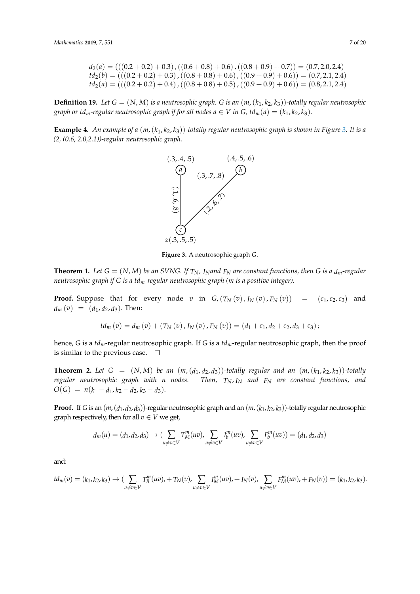$$
d_2(a) = (((0.2 + 0.2) + 0.3), ((0.6 + 0.8) + 0.6), ((0.8 + 0.9) + 0.7)) = (0.7, 2.0, 2.4)
$$
  
\n
$$
d_2(b) = (((0.2 + 0.2) + 0.3), ((0.8 + 0.8) + 0.6), ((0.9 + 0.9) + 0.6)) = (0.7, 2.1, 2.4)
$$
  
\n
$$
d_2(a) = (((0.2 + 0.2) + 0.4), ((0.8 + 0.8) + 0.5), ((0.9 + 0.9) + 0.6)) = (0.8, 2.1, 2.4)
$$

**Definition 19.** Let  $G = (N, M)$  is a neutrosophic graph. G is an  $(m, (k_1, k_2, k_3))$ -totally regular neutrosophic *graph or td<sub>m</sub>-regular neutrosophic graph if for all nodes*  $a \in V$  *in*  $G$ *,*  $td_m(a) = (k_1, k_2, k_3)$ *.* 

<span id="page-6-0"></span>**Example 4.** *An example of a* (*m*,(*k*1, *k*2, *k*3))*-totally regular neutrosophic graph is shown in Figure [3.](#page-6-0) It is a (2, (0.6, 2.0,2.1))-regular neutrosophic graph.*



**Figure 3.** A neutrosophic graph *G*.

**Theorem 1.** Let  $G = (N, M)$  be an SVNG. If  $T_N$ , I<sub>N</sub>and  $F_N$  are constant functions, then G is a  $d_m$ -regular *neutrosophic graph if G is a tdm-regular neutrosophic graph (m is a positive integer).*

**Proof.** Suppose that for every node *v* in  $G$ ,  $(T_N(v)$ ,  $I_N(v)$ ,  $F_N(v)$  =  $(c_1, c_2, c_3)$  and  $d_m(v) = (d_1, d_2, d_3)$ . Then:

$$
td_{m}(v) = d_{m}(v) + (T_{N}(v), I_{N}(v), F_{N}(v)) = (d_{1} + c_{1}, d_{2} + c_{2}, d_{3} + c_{3});
$$

hence, *G* is a *tdm*-regular neutrosophic graph. If *G* is a *tdm*-regular neutrosophic graph, then the proof is similar to the previous case.  $\Box$ 

**Theorem 2.** Let  $G = (N, M)$  be an  $(m, (d_1, d_2, d_3))$ -totally regular and an  $(m, (k_1, k_2, k_3))$ -totally *regular neutrosophic graph with n nodes. Then, TN*, *I<sup>N</sup> and F<sup>N</sup> are constant functions, and*  $O(G) = n(k_1 - d_1, k_2 - d_2, k_3 - d_3).$ 

**Proof.** If *G* is an (*m*,(*d*1, *d*2, *d*3))-regular neutrosophic graph and an (*m*,(*k*1, *k*2, *k*3))-totally regular neutrosophic graph respectively, then for all  $v \in V$  we get,

$$
d_m(u) = (d_1, d_2, d_3) \to (\sum_{u \neq v \in V} T_M^m(uv), \sum_{u \neq v \in V} T_B^m(uv), \sum_{u \neq v \in V} F_b^m(uv)) = (d_1, d_2, d_3)
$$

and:

$$
td_m(v) = (k_1, k_2, k_3) \rightarrow (\sum_{u \neq v \in V} T_0^m(uv), + T_N(v), \sum_{u \neq v \in V} I_M^m(uv), + I_N(v), \sum_{u \neq v \in V} F_M^m(uv), + F_N(v)) = (k_1, k_2, k_3).
$$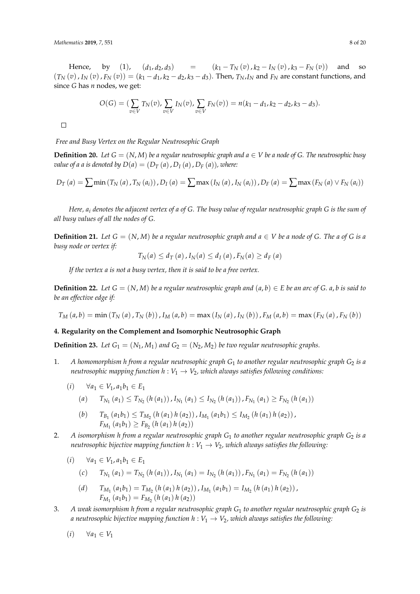Hence, by (1),  $(d_1, d_2, d_3)$  =  $(k_1 - T_N(v), k_2 - I_N(v), k_3 - F_N(v))$  and so  $(T_N(v), I_N(v), F_N(v)) = (k_1 - d_1, k_2 - d_2, k_3 - d_3)$ . Then,  $T_N, I_N$  and  $F_N$  are constant functions, and since *G* has *n* nodes, we get:

$$
O(G) = (\sum_{v \in V} T_N(v), \sum_{v \in V} I_N(v), \sum_{v \in V} F_N(v)) = n(k_1 - d_1, k_2 - d_2, k_3 - d_3).
$$

 $\Box$ 

*Free and Busy Vertex on the Regular Neutrosophic Graph*

**Definition 20.** Let  $G = (N, M)$  be a regular neutrosophic graph and  $a \in V$  be a node of G. The neutrosophic busy *value of a a is denoted by*  $D(a) = (D_T(a), D_I(a), D_F(a))$ *, where:* 

$$
D_{T}(a) = \sum \min (T_{N}(a), T_{N}(a_{i})), D_{I}(a) = \sum \max (I_{N}(a), I_{N}(a_{i})), D_{F}(a) = \sum \max (F_{N}(a) \vee F_{N}(a_{i}))
$$

*Here, a<sup>i</sup> denotes the adjacent vertex of a of G. The busy value of regular neutrosophic graph G is the sum of all busy values of all the nodes of G.*

**Definition 21.** Let  $G = (N, M)$  be a regular neutrosophic graph and  $a \in V$  be a node of G. The a of G is a *busy node or vertex if:*

$$
T_N(a) \leq d_T(a), I_N(a) \leq d_I(a), F_N(a) \geq d_F(a)
$$

*If the vertex a is not a busy vertex, then it is said to be a free vertex.*

**Definition 22.** Let  $G = (N, M)$  be a regular neutrosophic graph and  $(a, b) \in E$  be an arc of  $G$ .  $a, b$  is said to *be an effective edge if:*

 $T_M(a,b) = \min(T_N(a), T_N(b)), I_M(a,b) = \max(I_N(a), I_N(b)), F_M(a,b) = \max(F_N(a), F_N(b))$ 

## **4. Regularity on the Complement and Isomorphic Neutrosophic Graph**

**Definition 23.** Let  $G_1 = (N_1, M_1)$  and  $G_2 = (N_2, M_2)$  be two regular neutrosophic graphs.

- 1. *A homomorphism h from a regular neutrosophic graph G*<sup>1</sup> *to another regular neutrosophic graph G*<sup>2</sup> *is a neutrosophic mapping function*  $h: V_1 \rightarrow V_2$ *, which always satisfies following conditions:* 
	- $(i)$  ∀ $a_1$  ∈  $V_1$ ,  $a_1b_1$  ∈  $E_1$

(a) 
$$
T_{N_1}(a_1) \le T_{N_2}(h(a_1))
$$
,  $I_{N_1}(a_1) \le I_{N_2}(h(a_1))$ ,  $F_{N_1}(a_1) \ge F_{N_2}(h(a_1))$ 

- $T_{B_1}(a_1b_1) \leq T_{M_2}(h(a_1)h(a_2))$ ,  $I_{M_1}(a_1b_1) \leq I_{M_2}(h(a_1)h(a_2))$ ,  $F_{M_1}(a_1b_1) \geq F_{B_2}(h(a_1)h(a_2))$
- 2. *A isomorphism h from a regular neutrosophic graph G*<sup>1</sup> *to another regular neutrosophic graph G*<sup>2</sup> *is a neutrosophic bijective mapping function*  $h: V_1 \to V_2$ *, which always satisfies the following:*

$$
(i) \qquad \forall a_1 \in V_1, a_1 b_1 \in E_1
$$

$$
(c) T_{N_1}(a_1) = T_{N_2}(h(a_1)), I_{N_1}(a_1) = I_{N_2}(h(a_1)), F_{N_1}(a_1) = F_{N_2}(h(a_1))
$$

(d) 
$$
T_{M_1}(a_1b_1) = T_{M_2}(h(a_1)h(a_2)), I_{M_1}(a_1b_1) = I_{M_2}(h(a_1)h(a_2)),
$$
  
\n $F_{M_1}(a_1b_1) = F_{M_2}(h(a_1)h(a_2))$ 

3. *A weak isomorphism h from a regular neutrosophic graph G*<sup>1</sup> *to another regular neutrosophic graph G*<sup>2</sup> *is a neutrosophic bijective mapping function*  $h: V_1 \rightarrow V_2$ *, which always satisfies the following:* 

$$
(i) \qquad \forall a_1 \in V_1
$$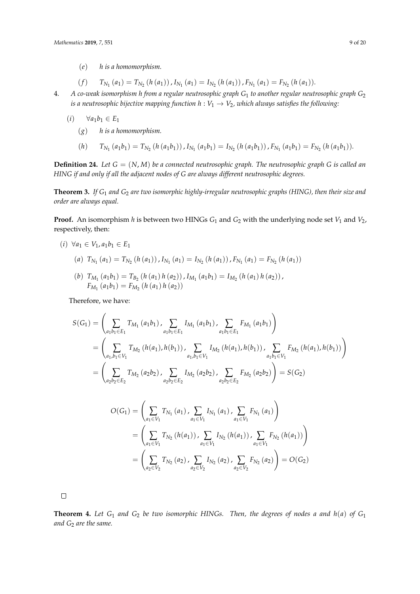- (*e*) *h is a homomorphism.*
- $T_{N_1}(a_1) = T_{N_2}(h(a_1))$ ,  $I_{N_1}(a_1) = I_{N_2}(h(a_1))$ ,  $F_{N_1}(a_1) = F_{N_2}(h(a_1))$ .
- 4. *A co-weak isomorphism h from a regular neutrosophic graph G*<sup>1</sup> *to another regular neutrosophic graph G*<sup>2</sup> *is a neutrosophic bijective mapping function*  $h: V_1 \to V_2$ *, which always satisfies the following:* 
	- $(i)$   $\forall a_1b_1 \in E_1$ 
		- (*g*) *h is a homomorphism.*
		- (h)  $T_{N_1}(a_1b_1) = T_{N_2}(h(a_1b_1))$ ,  $I_{N_1}(a_1b_1) = I_{N_2}(h(a_1b_1))$ ,  $F_{N_1}(a_1b_1) = F_{N_2}(h(a_1b_1))$ .

**Definition 24.** *Let G* = (*N*, *M*) *be a connected neutrosophic graph. The neutrosophic graph G is called an HING if and only if all the adjacent nodes of G are always different neutrosophic degrees.*

**Theorem 3.** *If G*<sup>1</sup> *and G*<sup>2</sup> *are two isomorphic highly-irregular neutrosophic graphs (HING), then their size and order are always equal.*

**Proof.** An isomorphism *h* is between two HINGs  $G_1$  and  $G_2$  with the underlying node set  $V_1$  and  $V_2$ , respectively, then:

 $(i) \forall a_1 \in V_1, a_1b_1 \in E_1$ 

(a) 
$$
T_{N_1}(a_1) = T_{N_2}(h(a_1))
$$
,  $I_{N_1}(a_1) = I_{N_2}(h(a_1))$ ,  $F_{N_1}(a_1) = F_{N_2}(h(a_1))$ 

 $T_{M_1}(a_1b_1) = T_{B_2}(h(a_1)h(a_2))$ ,  $I_{M_1}(a_1b_1) = I_{M_2}(h(a_1)h(a_2))$ ,  $F_{M_1}(a_1b_1) = F_{M_2}(h(a_1)h(a_2))$ 

Therefore, we have:

$$
S(G_1) = \left(\sum_{a_1b_1 \in E_1} T_{M_1}(a_1b_1), \sum_{a_1b_1 \in E_1} I_{M_1}(a_1b_1), \sum_{a_1b_1 \in E_1} F_{M_1}(a_1b_1)\right)
$$
  
= 
$$
\left(\sum_{a_1,b_1 \in V_1} T_{M_2}(h(a_1),h(b_1)), \sum_{a_1,b_1 \in V_1} I_{M_2}(h(a_1),h(b_1)), \sum_{a_1b_1 \in V_1} F_{M_2}(h(a_1),h(b_1))\right)
$$
  
= 
$$
\left(\sum_{a_2b_2 \in E_2} T_{M_2}(a_2b_2), \sum_{a_2b_2 \in E_2} I_{M_2}(a_2b_2), \sum_{a_2b_2 \in E_2} F_{M_2}(a_2b_2)\right) = S(G_2)
$$

$$
O(G_1) = \left(\sum_{a_1 \in V_1} T_{N_1}(a_1), \sum_{a_1 \in V_1} I_{N_1}(a_1), \sum_{a_1 \in V_1} F_{N_1}(a_1)\right)
$$
  
= 
$$
\left(\sum_{a_1 \in V_1} T_{N_2}(h(a_1)), \sum_{a_1 \in V_1} I_{N_2}(h(a_1)), \sum_{a_1 \in V_1} F_{N_2}(h(a_1))\right)
$$
  
= 
$$
\left(\sum_{a_2 \in V_2} T_{N_2}(a_2), \sum_{a_2 \in V_2} I_{N_2}(a_2), \sum_{a_2 \in V_2} F_{N_2}(a_2)\right) = O(G_2)
$$

 $\Box$ 

**Theorem 4.** Let  $G_1$  and  $G_2$  be two isomorphic HINGs. Then, the degrees of nodes a and  $h(a)$  of  $G_1$ *and G*<sup>2</sup> *are the same.*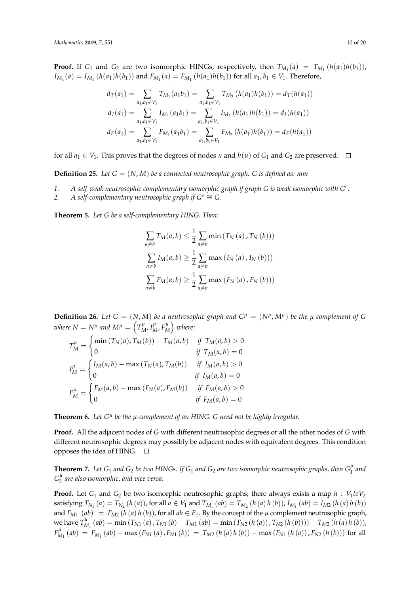**Proof.** If  $G_1$  and  $G_2$  are two isomorphic HINGs, respectively, then  $T_{M_1}(a) = T_{M_1}(h(a_1)h(b_1))$ ,  $I_{M_1}(a) = I_{M_1}(h(a_1)h(b_1))$  and  $F_{M_1}(a) = F_{M_1}(h(a_1)h(b_1))$  for all  $a_1, b_1 \in V_1$ . Therefore,

$$
d_T(a_1) = \sum_{a_1, b_1 \in V_1} T_{M_1}(a_1 b_1) = \sum_{a_1, b_1 \in V_1} T_{M_2}(h(a_1)h(b_1)) = d_T(h(a_1))
$$
  

$$
d_I(a_1) = \sum_{a_1, b_1 \in V_1} I_{M_1}(a_1 b_1) = \sum_{a_1, b_1 \in V_1} I_{M_2}(h(a_1)h(b_1)) = d_I(h(a_1))
$$
  

$$
d_F(a_1) = \sum_{a_1, b_1 \in V_1} F_{M_1}(a_1 b_1) = \sum_{a_1, b_1 \in V_1} F_{M_2}(h(a_1)h(b_1)) = d_F(h(a_1))
$$

for all  $a_1 \in V_1$ . This proves that the degrees of nodes *u* and  $h(u)$  of  $G_1$  and  $G_2$  are preserved.  $\Box$ 

**Definition 25.** *Let G* = (*N*, *M*) *be a connected neutrosophic graph. G is defined as: mm*

- *1. A self-weak neutrosophic complementary isomorphic graph if graph G is weak isomorphic with G<sup>c</sup> .*
- 2. *A self-complementary neutrosophic graph if*  $G^c \cong G$ .

**Theorem 5.** *Let G be a self-complementary HING. Then:*

$$
\sum_{a \neq b} T_M(a, b) \leq \frac{1}{2} \sum_{a \neq b} \min (T_N(a), T_N(b)))
$$
  

$$
\sum_{a \neq b} I_M(a, b) \geq \frac{1}{2} \sum_{a \neq b} \max (I_N(a), I_N(b)))
$$
  

$$
\sum_{a \neq b} F_M(a, b) \geq \frac{1}{2} \sum_{a \neq b} \max (F_N(a), F_N(b)))
$$

**Definition 26.** Let  $G = (N, M)$  be a neutrosophic graph and  $G^{\mu} = (N^{\mu}, M^{\mu})$  be the  $\mu$  complement of G where  $N = N^{\mu}$  and  $M^{\mu} = \left( T^{\mu}_{M}, I^{\mu}_{M}, F^{\mu}_{N} \right)$  $_{M}^{\mu}\Big)$  where:

$$
T_M^{\mu} = \begin{cases} \min(T_N(a), T_M(b)) - T_M(a, b) & \text{if } T_M(a, b) > 0 \\ 0 & \text{if } T_M(a, b) = 0 \end{cases}
$$
  

$$
I_M^{\mu} = \begin{cases} I_M(a, b) - \max(T_N(a), T_M(b)) & \text{if } I_M(a, b) > 0 \\ 0 & \text{if } I_M(a, b) = 0 \end{cases}
$$
  

$$
F_M^{\mu} = \begin{cases} F_M(a, b) - \max(F_N(a), F_M(b)) & \text{if } F_M(a, b) > 0 \\ 0 & \text{if } F_M(a, b) = 0 \end{cases}
$$

**Theorem 6.** *Let G<sup>µ</sup> be the µ-complement of an HING. G need not be highly irregular.*

**Proof.** All the adjacent nodes of *G* with different neutrosophic degrees or all the other nodes of *G* with different neutrosophic degrees may possibly be adjacent nodes with equivalent degrees. This condition opposes the idea of HING.  $\square$ 

**Theorem 7.** Let  $G_1$  and  $G_2$  be two HINGs. If  $G_1$  and  $G_2$  are two isomorphic neutrosophic graphs, then  $G_1^\mu$  $\int_{1}^{\mu}$  and  $G_2^{\mu}$ 2 *are also isomorphic, and vice versa.*

**Proof.** Let  $G_1$  and  $G_2$  be two isomorphic neutrosophic graphs; there always exists a map  $h : V_1 to V_2$ satisfying  $T_{N_1}(a) = T_{N_2}(h(a))$ , for all  $a \in V_1$  and  $T_{M_1}(ab) = T_{M_2}(h(a)h(b))$ ,  $I_{M_1}(ab) = I_{M2}(h(a)h(b))$ and  $F_{M1}$  (*ab*) =  $F_{M2}$  (*h* (*a*) *h* (*b*)), for all  $ab \in E_1$ . By the concept of the  $\mu$  complement neutrosophic graph, we have  $T^{\mu}_{\lambda}$  $\lim_{M_1}(ab) = \min(T_{N1}(a), T_{N1}(b) - T_{M1}(ab) = \min(T_{N2}(h(a)), T_{N2}(h(b)))) - T_{M2}(h(a)h(b)),$  $F^{\mu}_{\lambda}$  $\frac{M_1}{M_1}(ab) = F_{M_1}(ab) - \max(F_{N1}(a), F_{N1}(b)) = T_{M2}(h(a)h(b)) - \max(F_{N1}(h(a)), F_{N2}(h(b)))$  for all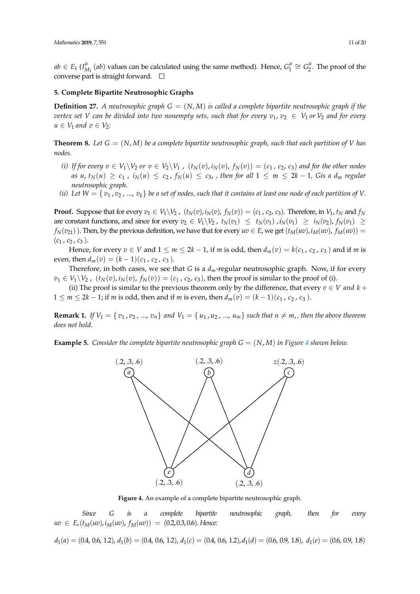$ab \in E_1$  ( $I^{\mu}_\lambda$  $_{M_1}^{\mu}$  (*ab*) values can be calculated using the same method). Hence,  $G_1^{\mu}$  $G_1^{\mu} \cong G_2^{\mu}$  $\frac{1}{2}$ . The proof of the converse part is straight forward.  $\square$ 

## **5. Complete Bipartite Neutrosophic Graphs**

**Definition 27.** A neutrosophic graph  $G = (N, M)$  is called a complete bipartite neutrosophic graph if the *vertex set V* can be divided into two nonempty sets, such that for every  $v_1, v_2 \in V_1$  or  $V_2$  and for every  $u \in V_1$  *and*  $v \in V_2$ *:* 

**Theorem 8.** Let  $G = (N, M)$  be a complete bipartite neutrosophic graph, such that each partition of V has *nodes.*

- (i) If for every  $v \in V_1 \backslash V_2$  or  $v \in V_2 \backslash V_1$ ,  $(t_N(v), i_N(v), f_N(v)) = (c_1, c_2, c_3)$  and for the other nodes as u,  $t_N(u) \ge c_1$ ,  $i_N(u) \le c_2$ ,  $f_N(u) \le c_3$ , then for all  $1 \le m \le 2k - 1$ , Gis a  $d_m$  regular *neutrosophic graph.*
- *(ii)* Let  $W = \{v_1, v_2, ..., v_k\}$  be a set of nodes, such that it contains at least one node of each partition of V.

**Proof.** Suppose that for every  $v_1 \in V_1 \setminus V_2$ ,  $(t_N(v), i_N(v), f_N(v)) = (c_1, c_2, c_3)$ . Therefore, in  $V_1$ ,  $t_N$  and  $f_N$ are constant functions, and since for every  $v_2 \in V_1 \backslash V_2$ ,  $t_N(v_1) \le t_N(v_1)$ ,  $i_N(v_1) \ge i_N(v_2)$ ,  $f_N(v_1) \ge t_N(v_2)$  $f_N(v_{21})$ ). Then, by the previous definition, we have that for every  $uv \in E$ , we get  $(t_M(uv), i_M(uv), f_M(uv)) =$  $(c_1, c_2, c_3)$ .

Hence, for every  $v \in V$  and  $1 \le m \le 2k - 1$ , if *m* is odd, then  $d_m(v) = k(c_1, c_2, c_3)$  and if *m* is even, then  $d_m(v) = (k-1)(c_1, c_2, c_3)$ .

Therefore, in both cases, we see that *G* is a *dm*-regular neutrosophic graph. Now, if for every  $v_1 \in V_1 \setminus V_2$ ,  $(t_N(v), i_N(v), f_N(v)) = (c_1, c_2, c_3)$ , then the proof is similar to the proof of (i).

(ii) The proof is similar to the previous theorem only by the difference, that every  $v \in V$  *and*  $k +$ 1 ≤ *m* ≤ 2*k* − 1; if *m* is odd, then and if *m* is even, then  $d_m(v) = (k-1)(c_1, c_2, c_3)$ .

**Remark 1.** If  $V_1 = \{v_1, v_2, ..., v_n\}$  and  $V_1 = \{u_1, u_2, ..., u_m\}$  such that  $n \neq m$ , then the above theorem *does not hold.*

<span id="page-10-0"></span>**Example 5.** Consider the complete bipartite neutrosophic graph  $G = (N, M)$  in Figure [4](#page-10-0) shown below.



**Figure 4.** An example of a complete bipartite neutrosophic graph.

*Since G is a complete bipartite neutrosophic graph, then for every*  $uv \in E_{\ell}(t_M(uv), i_M(uv), f_M(uv)) = (0.2, 0.3, 0.6)$ . *Hence:* 

 $d_1(a) = (0.4, 0.6, 1.2), d_1(b) = (0.4, 0.6, 1.2), d_1(c) = (0.4, 0.6, 1.2), d_1(d) = (0.6, 0.9, 1.8), d_1(e) = (0.6, 0.9, 1.8)$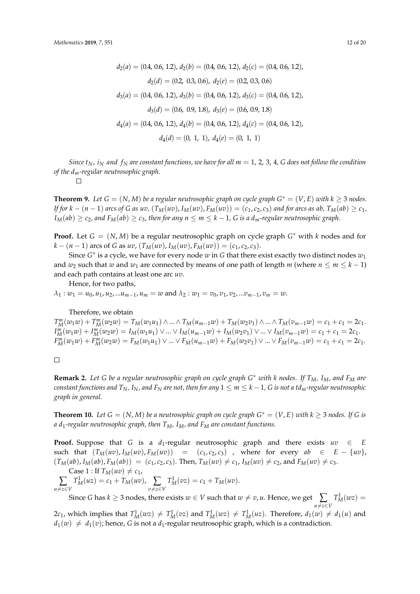$$
d_2(a) = (0.4, 0.6, 1.2), d_2(b) = (0.4, 0.6, 1.2), d_2(c) = (0.4, 0.6, 1.2),
$$

$$
d_2(d) = (0.2, 0.3, 0.6), d_2(e) = (0.2, 0.3, 0.6)
$$

$$
d_3(a) = (0.4, 0.6, 1.2), d_3(b) = (0.4, 0.6, 1.2), d_3(c) = (0.4, 0.6, 1.2),
$$

$$
d_3(d) = (0.6, 0.9, 1.8), d_3(e) = (0.6, 0.9, 1.8)
$$

$$
d_4(a) = (0.4, 0.6, 1.2), d_4(b) = (0.4, 0.6, 1.2), d_4(c) = (0.4, 0.6, 1.2),
$$

$$
d_4(d) = (0, 1, 1), d_4(e) = (0, 1, 1)
$$

*Since*  $t_N$ ,  $i_N$  and  $f_N$  are constant functions, we have for all  $m = 1, 2, 3, 4$ , *G* does not follow the condition *of the dm-regular neutrosophic graph.*

 $\Box$ 

**Theorem 9.** Let  $G = (N, M)$  be a regular neutrosophic graph on cycle graph  $G^* = (V, E)$  with  $k \geq 3$  nodes. If for  $k-(n-1)$  arcs of G as uv,  $(T_M(uv), I_M(uv), F_M(uv)) = (c_1, c_2, c_3)$  and for arcs as ab,  $T_M(ab) \geq c_1$ , *I*<sup>*M*</sup>(*ab*) ≥ *c*<sub>2</sub>*, and*  $F_M(ab)$  ≥ *c*<sub>3</sub>*, then for any*  $n ≤ m ≤ k − 1$ *, G is a d<sub>m</sub>-regular neutrosophic graph.* 

**Proof.** Let  $G = (N, M)$  be a regular neutrosophic graph on cycle graph  $G^*$  with  $k$  nodes and for *k* − (*n* − 1) arcs of *G* as *uv*,  $(T_M(uv), I_M(uv), F_M(uv)) = (c_1, c_2, c_3)$ .

Since *G* ∗ is a cycle, we have for every node *w* in *G* that there exist exactly two distinct nodes *w*<sup>1</sup> and  $w_2$  such that  $w$  and  $w_1$  are connected by means of one path of length  $m$  (where  $n \le m \le k - 1$ ) and each path contains at least one arc *uv*.

Hence, for two paths,

 $\lambda_1 : w_1 = u_0, u_1, u_2, ... u_{m-1}, u_m = w$  and  $\lambda_2 : w_1 = v_0, v_1, v_2, ... v_{m-1}, v_m = w$ .

Therefore, we obtain

 $T_M^m(w_1w) + T_M^m(w_2w) = T_M(w_1u_1) \wedge ... \wedge T_M(u_{m-1}w) + T_M(w_2v_1) \wedge ... \wedge T_M(v_{m-1}w) = c_1 + c_1 = 2c_1.$  $I_M^m(w_1w) + I_M^m(w_2w) = I_M(w_1u_1) \vee ... \vee I_M(u_{m-1}w) + I_M(w_2v_1) \vee ... \vee I_M(v_{m-1}w) = c_1 + c_1 = 2c_1.$  $F_M^m(w_1w) + F_M^m(w_2w) = F_M(w_1u_1) \vee ... \vee F_M(u_{m-1}w) + F_M(w_2v_1) \vee ... \vee F_M(v_{m-1}w) = c_1 + c_1 = 2c_1.$ 

 $\Box$ 

**Remark 2.** *Let G be a regular neutrosophic graph on cycle graph G* <sup>∗</sup> *with k nodes. If TM, IM, and F<sup>M</sup> are* constant functions and  $T_N$ ,  $I_N$ , and  $F_N$  are not, then for any  $1 \le m \le k-1$ , G is not a td<sub>m</sub>-regular neutrosophic *graph in general.*

**Theorem 10.** Let  $G = (N, M)$  be a neutrosophic graph on cycle graph  $G^* = (V, E)$  with  $k \geq 3$  nodes. If G is *a d*1*-regular neutrosophic graph, then TM, IM, and F<sup>M</sup> are constant functions.*

**Proof.** Suppose that *G* is a *d*<sub>1</sub>-regular neutrosophic graph and there exists  $uv \in E$ such that  $(T_M(uv), I_M(uv), F_M(uv)) = (c_1, c_2, c_3)$ , where for every  $ab \in E - \{uv\}$ ,  $(T_M(ab), I_M(ab), F_M(ab)) = (c_1, c_2, c_3)$ . Then,  $T_M(uv) \neq c_1$ ,  $I_M(uv) \neq c_2$ , and  $F_M(uv) \neq c_3$ . Case 1 : If  $T_M(uv) \neq c_1$ ,

 $\sum_{u \neq z \in V}$  $T_M^1(uz) = c_1 + T_M(uv), \sum_{v \neq z \in V}$  $T_M^1(vz) = c_1 + T_M(uv).$ 

Since *G* has  $k \ge 3$  nodes, there exists  $w \in V$  such that  $w \ne v$ ,  $u$ . Hence, we get  $\sum_{u \ne z \in V}$  $T_M^1(wz) =$ 

 $2c_1$ , which implies that  $T_M^1(wz) \neq T_M^1(vz)$  and  $T_M^1(wz) \neq T_M^1(uz)$ . Therefore,  $d_1(w) \neq d_1(u)$  and  $d_1(w) \neq d_1(v)$ ; hence, *G* is not a  $d_1$ -regular neutrosophic graph, which is a contradiction.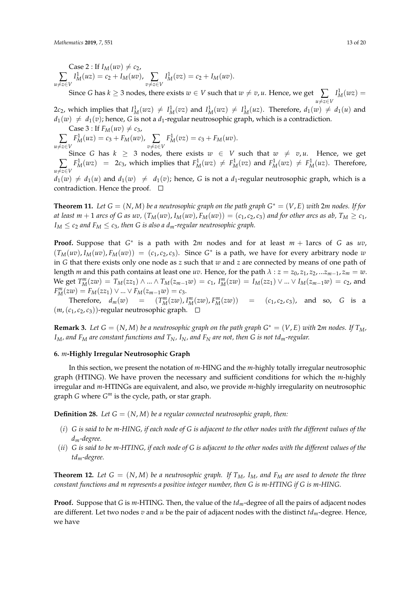$\text{Case 2}: \text{If } I_M(uv) \neq c_2$ ,  $\sum_{u \neq z \in V}$  $I_M^1(uz) = c_2 + I_M(uv)$ ,  $\sum_{v \neq z \in V}$  $I_M^1(vz) = c_2 + I_M(uv).$ 

Since *G* has  $k \ge 3$  nodes, there exists  $w \in V$  such that  $w \ne v, u$ . Hence, we get  $\sum_{u \ne z \in V}$  $I<sub>M</sub><sup>1</sup>(wz) =$  $2c_2$ , which implies that  $I_M^1(wz) \neq I_M^1(vz)$  and  $I_M^1(wz) \neq I_M^1(uz)$ . Therefore,  $d_1(w) \neq d_1(u)$  and

 $d_1(w) \neq d_1(v)$ ; hence, *G* is not a  $d_1$ -regular neutrosophic graph, which is a contradiction.

Case 3 : If  $F_M(uv) \neq c_3$ ,  $\sum_{u \neq z \in V}$  $F_M^1(uz) = c_3 + F_M(uv), \sum_{v \neq z \in V}$  $F_M^1(vz) = c_3 + F_M(uv).$ 

Since *G* has  $k \geq 3$  nodes, there exists  $w \in V$  such that  $w \neq v, u$ . Hence, we get  $\sum_{u \neq z \in V}$  $F_M^1(wz) = 2c_3$ , which implies that  $F_M^1(wz) \neq F_M^1(vz)$  and  $F_M^1(wz) \neq F_M^1(uz)$ . Therefore,  $d_1(w) \neq d_1(u)$  and  $d_1(w) \neq d_1(v)$ ; hence, *G* is not a  $d_1$ -regular neutrosophic graph, which is a contradiction. Hence the proof.  $\square$ 

**Theorem 11.** Let  $G = (N, M)$  be a neutrosophic graph on the path graph  $G^* = (V, E)$  with  $2m$  nodes. If for at least  $m+1$  arcs of G as uv,  $(T_M(uv), I_M(uv), F_M(uv)) = (c_1, c_2, c_3)$  and for other arcs as ab,  $T_M \geq c_1$ ,  $I_M \leq c_2$  *and*  $F_M \leq c_3$ *, then G is also a d<sub>m</sub>-regular neutrosophic graph.* 

**Proof.** Suppose that *G* ∗ is a path with 2*m* nodes and for at least *m* + 1arcs of *G* as *uv*,  $(T_M(uv), I_M(uv), F_M(uv)) = (c_1, c_2, c_3)$ . Since  $G^*$  is a path, we have for every arbitrary node *w* in *G* that there exists only one node as *z* such that *w* and *z* are connected by means of one path of length *m* and this path contains at least one *uv*. Hence, for the path  $\lambda$  :  $z = z_0, z_1, z_2, ... z_{m-1}, z_m = w$ . We get  $T_M^m(zw) = T_M(zz_1) \wedge ... \wedge T_M(z_{m-1}w) = c_1$ ,  $I_M^m(zw) = I_M(zz_1) \vee ... \vee I_M(z_{m-1}w) = c_2$ , and  $F_M^m(zw) = F_M(zz_1) \vee ... \vee F_M(z_{m-1}w) = c_3.$ 

Therefore,  $d_m(w) = (T_M^m(zw), I_M^m(zw), F_M^m(zw)) = (c_1, c_2, c_3)$ , and so, *G* is a  $(m, (c_1, c_2, c_3))$ -regular neutrosophic graph.  $\square$ 

**Remark 3.** Let  $G = (N, M)$  be a neutrosophic graph on the path graph  $G^* = (V, E)$  with  $2m$  nodes. If  $T_M$ , *IM, and F<sup>M</sup> are constant functions and TN, IN, and F<sup>N</sup> are not, then G is not tdm-regular.*

#### **6.** *m***-Highly Irregular Neutrosophic Graph**

In this section, we present the notation of *m*-HING and the *m*-highly totally irregular neutrosophic graph (HTING). We have proven the necessary and sufficient conditions for which the *m*-highly irregular and *m*-HTINGs are equivalent, and also, we provide *m*-highly irregularity on neutrosophic graph *G* where *G <sup>m</sup>* is the cycle, path, or star graph.

**Definition 28.** *Let*  $G = (N, M)$  *be a regular connected neutrosophic graph, then:* 

- (*i*) *G is said to be m-HING, if each node of G is adjacent to the other nodes with the different values of the dm-degree.*
- (*ii*) *G is said to be m-HTING, if each node of G is adjacent to the other nodes with the different values of the tdm-degree.*

**Theorem 12.** Let  $G = (N, M)$  be a neutrosophic graph. If  $T_M$ ,  $I_M$ , and  $F_M$  are used to denote the three *constant functions and m represents a positive integer number, then G is m-HTING if G is m-HING.*

**Proof.** Suppose that *G* is *m*-HTING. Then, the value of the *tdm*-degree of all the pairs of adjacent nodes are different. Let two nodes *v* and *u* be the pair of adjacent nodes with the distinct *tdm*-degree. Hence, we have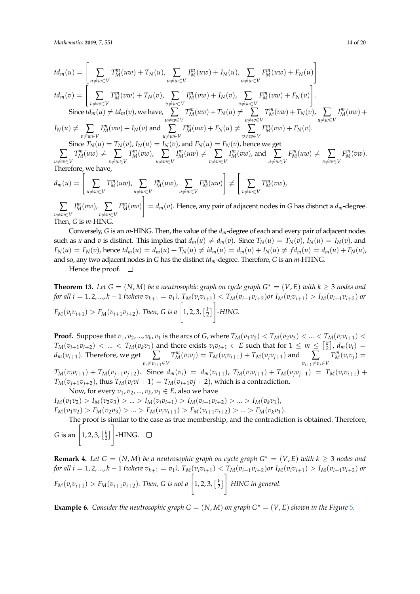*Mathematics* **2019**, *7*, 551 14 of 20

$$
td_m(u) = \left[\sum_{u \neq w \in V} T_M^m(uw) + T_N(u), \sum_{u \neq w \in V} I_M^m(uw) + I_N(u), \sum_{u \neq w \in V} F_M^m(uw) + F_N(u)\right]
$$
  
\n
$$
td_m(v) = \left[\sum_{v \neq w \in V} T_M^m(vw) + T_N(v), \sum_{v \neq w \in V} I_M^m(vw) + I_N(v), \sum_{v \neq w \in V} F_M^m(vw) + F_N(v)\right].
$$
  
\nSince  $td_m(u) \neq td_m(v)$ , we have,  $\sum_{u \neq w \in V} T_M^m(uw) + T_N(u) \neq \sum_{v \neq w \in V} T_M^m(vw) + T_N(v), \sum_{u \neq w \in V} I_M^m(uw) + I_N(v) \neq \sum_{v \neq w \in V} T_M^m(vw) + F_N(v).$   
\nSince  $T_N(u) = T_N(v), I_N(u) = I_N(v),$  and  $F_N(u) = F_N(v),$  hence we get  
\n
$$
\sum_{u \neq w \in V} T_M^m(uw) \neq \sum_{v \neq w \in V} T_M^m(vw), \sum_{u \neq w \in V} I_M^m(uw) \neq \sum_{v \neq w \in V} I_M^m(vw),
$$
 and  $\sum_{u \neq w \in V} F_M^m(uw) \neq \sum_{v \neq w \in V} F_M^m(uw).$   
\nTherefore, we have,  
\n
$$
d_{\mu}(u) = \left[\sum_{v \neq w \in V} T_M^m(uw), \sum_{u \neq w \in V} I_M^m(uw) \right] \neq \left[\sum_{v \neq w \in V} T_M^m(vw),
$$

$$
d_m(u) = \left[ \sum_{u \neq w \in V} T_M^m(uw), \sum_{u \neq w \in V} I_M^m(uw), \sum_{u \neq w \in V} F_M^m(uw) \right] \neq \left[ \sum_{v \neq w \in V} T_M^m(vw), \right]
$$

 $\sum_{v \neq w \in V}$  $I_M^m(vw)$ ,  $\sum_{v \neq w \in V}$ *F m <sup>M</sup>*(*vw*)  $= d_m(v)$ . Hence, any pair of adjacent nodes in *G* has distinct a  $d_m$ -degree. Then, *G* is *m*-HING.

Conversely, *G* is an *m*-HING. Then, the value of the *dm*-degree of each and every pair of adjacent nodes such as u and v is distinct. This implies that  $d_m(u) \neq d_m(v)$ . Since  $T_N(u) = T_N(v)$ ,  $I_N(u) = I_N(v)$ , and  $F_N(u) = F_N(v)$ , hence  $td_m(u) = d_m(u) + T_N(u) \neq id_m(u) = d_m(u) + I_N(u) \neq fd_m(u) = d_m(u) + F_N(u)$ , and so, any two adjacent nodes in *G* has the distinct *tdm*-degree. Therefore, *G* is an *m*-HTING.

Hence the proof.  $\Box$ 

**Theorem 13.** Let  $G = (N, M)$  be a neutrosophic graph on cycle graph  $G^* = (V, E)$  with  $k \geq 3$  nodes and for all  $i = 1, 2, ..., k - 1$  (where  $v_{k+1} = v_1$ ),  $T_M(v_i v_{i+1}) < T_M(v_{i+1} v_{i+2})$ or  $I_M(v_i v_{i+1}) > I_M(v_{i+1} v_{i+2})$  or  $F_M(v_iv_{i+1}) > F_M(v_{i+1}v_{i+2})$ *. Then, G is a*  $\left[1, 2, 3, \left[\frac{k}{2}\right]\right]$ 1 *-HING.*

**Proof.** Suppose that  $v_1, v_2, ..., v_k, v_1$  is the arcs of G, where  $T_M(v_1v_2) < T_M(v_2v_3) < ... < T_M(v_iv_{i+1}) <$  $T_M(v_{i+1}v_{i+2}) < ... < T_M(v_kv_1)$  and there exists  $v_iv_{i+1} \in E$  such that for  $1 \le m \le \lfloor \frac{k}{2} \rfloor$ ,  $d_m(v_i) =$  $d_m(v_{i+1})$ . Therefore, we get ∑  $v_i \neq v_{i+1} \in V$  $T_M^m(v_i v_j) = T_M(v_i v_{i+1}) + T_M(v_j v_{j+1})$  and ∑  $v_{i+1} \neq v_j \in V$  $T_M^m(v_i v_j) =$  $T_M(v_i v_{i+1}) + T_M(v_{j+1} v_{j+2})$ . Since  $d_m(v_i) = d_m(v_{i+1})$ ,  $T_M(v_i v_{i+1}) + T_M(v_j v_{j+1}) = T_M(v_i v_{i+1}) +$  $T_M(v_{j+1}v_{j+2})$ , thus  $T_M(v_i v_i + 1) = T_M(v_{j+1}v_j + 2)$ , which is a contradiction. Now, for every  $v_1, v_2, ..., v_k, v_1 \in E$ , also we have

 $I_M(v_1v_2) > I_M(v_2v_3) > ... > I_M(v_iv_{i+1}) > I_M(v_{i+1}v_{i+2}) > ... > I_M(v_kv_1)$  $F_M(v_1v_2) > F_M(v_2v_3) > ... > F_M(v_iv_{i+1}) > F_M(v_{i+1}v_{i+2}) > ... > F_M(v_kv_1).$ 

The proof is similar to the case as true membership, and the contradiction is obtained. Therefore,

*G* is an  $\left[1, 2, 3, \left[\frac{k}{2}\right]\right]$ 1 -HING.

**Remark 4.** Let  $G = (N, M)$  be a neutrosophic graph on cycle graph  $G^* = (V, E)$  with  $k \geq 3$  nodes and for all  $i = 1, 2, ..., k - 1$  (where  $v_{k+1} = v_1$ ),  $T_M(v_i v_{i+1}) < T_M(v_{i+1} v_{i+2})$  or  $I_M(v_i v_{i+1}) > I_M(v_{i+1} v_{i+2})$  or  $F_M(v_iv_{i+1}) > F_M(v_{i+1}v_{i+2})$ *. Then, G is not a*  $\left[1, 2, 3, \left[\frac{k}{2}\right]\right]$ 1 *-HING in general.*

**Example 6.** *Consider the neutrosophic graph G* =  $(N, M)$  *on graph G*<sup>\*</sup> =  $(V, E)$  *shown in the Figure [5.](#page-14-0)*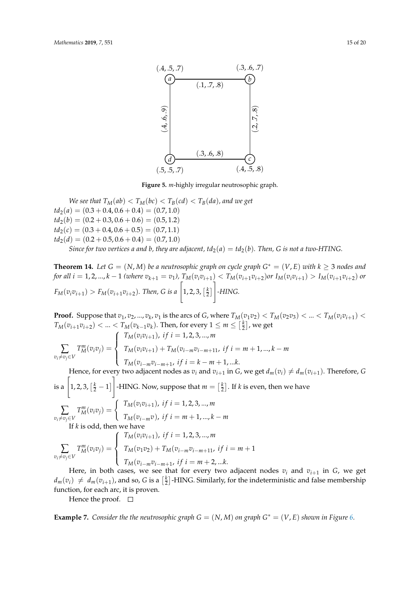<span id="page-14-0"></span>

**Figure 5.** *m*-highly irregular neutrosophic graph.

*We see that*  $T_M(ab) < T_M(bc) < T_B(cd) < T_B(da)$ *, and we get*  $td_2(a) = (0.3 + 0.4, 0.6 + 0.4) = (0.7, 1.0)$  $td_2(b) = (0.2 + 0.3, 0.6 + 0.6) = (0.5, 1.2)$  $td_2(c) = (0.3 + 0.4, 0.6 + 0.5) = (0.7, 1.1)$  $td_2(d) = (0.2 + 0.5, 0.6 + 0.4) = (0.7, 1.0)$ *Since for two vertices a and b, they are adjacent,*  $td_2(a) = td_2(b)$ *. Then, G is not a two-HTING.* 

**Theorem 14.** Let  $G = (N, M)$  be a neutrosophic graph on cycle graph  $G^* = (V, E)$  with  $k \geq 3$  nodes and for all  $i = 1, 2, ..., k - 1$  (where  $v_{k+1} = v_1$ ),  $T_M(v_i v_{i+1}) < T_M(v_{i+1} v_{i+2})$  or  $I_M(v_i v_{i+1}) > I_M(v_{i+1} v_{i+2})$  or  $F_M(v_iv_{i+1}) > F_M(v_{i+1}v_{i+2})$ *. Then, G is a*  $\left[1, 2, 3, \left[\frac{k}{2}\right]\right]$ 1 *-HING.*

**Proof.** Suppose that  $v_1, v_2, ..., v_k, v_1$  is the arcs of G, where  $T_M(v_1v_2) < T_M(v_2v_3) < ... < T_M(v_iv_{i+1}) <$  $T_M(v_{i+1}v_{i+2}) < ... < T_M(v_{k-1}v_k)$ . Then, for every  $1 \leq m \leq \left[\frac{k}{2}\right]$ , we get ∑  $v_i$ ≠ $v_j$ ∈*V*  $T_M^m(v_i v_j) =$  $\sqrt{ }$  $\int$  $\overline{\mathcal{L}}$  $T_M(v_i v_{i+1})$ , if  $i = 1, 2, 3, ..., m$  $T_M(v_i v_{i+1}) + T_M(v_{i-m} v_{i-m+11}, \text{ if } i = m+1, ..., k-m$  $T_M(v_{i-m}v_{i-m+1}, \text{ if } i = k - m + 1, \dots k.$ 

Hence, for every two adjacent nodes as  $v_i$  and  $v_{i+1}$  in *G*, we get  $d_m(v_i) \neq d_m(v_{i+1})$ . Therefore, *G* 1

is a  $\left[1, 2, 3, \left[\frac{k}{2} - 1\right]\right]$ -HING. Now, suppose that  $m = \left[\frac{k}{2}\right]$ . If *k* is even, then we have

$$
\sum_{v_i \neq v_j \in V} T_M^m(v_i v_j) = \begin{cases} T_M(v_i v_{i+1}), & \text{if } i = 1, 2, 3, ..., m \\ T_M(v_{i-m} v), & \text{if } i = m+1, ..., k-m \end{cases}
$$
  
If k is odd, then we have

$$
\sum_{v_i \neq v_j \in V} T_M^m(v_i v_j) = \begin{cases} T_M(v_i v_{i+1}), \text{ if } i = 1, 2, 3, ..., m \\ T_M(v_1 v_2) + T_M(v_{i-m} v_{i-m+1}, \text{ if } i = m+1 \\ T_M(v_{i-m} v_{i-m+1}, \text{ if } i = m+2, ...k. \end{cases}
$$

Here, in both cases, we see that for every two adjacent nodes  $v_i$  and  $v_{i+1}$  in  $G$ , we get  $d_m(v_i) \neq d_m(v_{i+1})$ , and so, *G* is a  $\left[\frac{k}{2}\right]$ -HING. Similarly, for the indeterministic and false membership function, for each arc, it is proven.

Hence the proof.  $\Box$ 

**Example 7.** *Consider the the neutrosophic graph*  $G = (N, M)$  *on graph*  $G^* = (V, E)$  *shown in Figure* [6.](#page-15-0)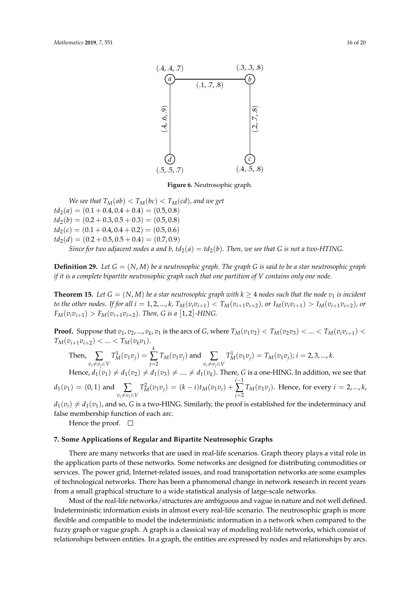<span id="page-15-0"></span>

**Figure 6.** Neutrosophic graph.

*We see that*  $T_M(ab) < T_M(bc) < T_M(cd)$ *, and we get*  $td_2(a) = (0.1 + 0.4, 0.4 + 0.4) = (0.5, 0.8)$  $td_2(b) = (0.2 + 0.3, 0.5 + 0.3) = (0.5, 0.8)$  $td_2(c) = (0.1 + 0.4, 0.4 + 0.2) = (0.5, 0.6)$  $td_2(d) = (0.2 + 0.5, 0.5 + 0.4) = (0.7, 0.9)$ *Since for two adjacent nodes a and b, td*<sub>2</sub>(*a*) = *td*<sub>2</sub>(*b*)*. Then, we see that G is not a two-HTING.* 

**Definition 29.** Let  $G = (N, M)$  be a neutrosophic graph. The graph G is said to be a star neutrosophic graph *if it is a complete bipartite neutrosophic graph such that one partition of V contains only one node.*

**Theorem 15.** Let  $G = (N, M)$  be a star neutrosophic graph with  $k \geq 4$  nodes such that the node  $v_1$  is incident to the other nodes. If for all  $i = 1, 2, ..., k$ ,  $T_M(v_i v_{i+1}) < T_M(v_{i+1} v_{i+2})$ , or  $I_M(v_i v_{i+1}) > I_M(v_{i+1} v_{i+2})$ , or  $F_M(v_i v_{i+1}) > F_M(v_{i+1} v_{i+2})$ *. Then, G is a* [1, 2]-HING.

**Proof.** Suppose that  $v_1, v_2, ..., v_k, v_1$  is the arcs of G, where  $T_M(v_1v_2) < T_M(v_2v_3) < ... < T_M(v_iv_{i+1}) <$  $T_M(v_{i+1}v_{i+2}) < ... < T_M(v_kv_1).$ 

Then, 
$$
\sum_{v_i \neq v_j \in V} T_M^1(v_1v_j) = \sum_{j=2}^k T_M(v_1v_j)
$$
 and 
$$
\sum_{v_i \neq v_j \in V} T_M^1(v_1v_j) = T_M(v_1v_j); i = 2, 3, ..., k.
$$

Hence,  $d_1(v_1) \neq d_1(v_2) \neq d_1(v_3) \neq .... \neq d_1(v_k)$ . There, *G* is a one-HING. In addition, we see that  $d_1(v_1) = (0, 1)$  and  $\sum$  $v_i \neq v_j \in V$  $T_M^2(v_1v_j) = (k-i)t_M(v_1v_i) +$ *i*−1 ∑ *j*=2  $T_M(v_1v_j)$ . Hence, for every  $i = 2, ..., k$ ,

 $d_1(v_i) \neq d_1(v_1)$ , and so, *G* is a two-HING. Similarly, the proof is established for the indeterminacy and false membership function of each arc.

Hence the proof.  $\square$ 

## **7. Some Applications of Regular and Bipartite Neutrosophic Graphs**

There are many networks that are used in real-life scenarios. Graph theory plays a vital role in the application parts of these networks. Some networks are designed for distributing commodities or services. The power grid, Internet-related issues, and road transportation networks are some examples of technological networks. There has been a phenomenal change in network research in recent years from a small graphical structure to a wide statistical analysis of large-scale networks.

Most of the real-life networks/structures are ambiguous and vague in nature and not well defined. Indeterministic information exists in almost every real-life scenario. The neutrosophic graph is more flexible and compatible to model the indeterministic information in a network when compared to the fuzzy graph or vague graph. A graph is a classical way of modeling real-life networks, which consist of relationships between entities. In a graph, the entities are expressed by nodes and relationships by arcs.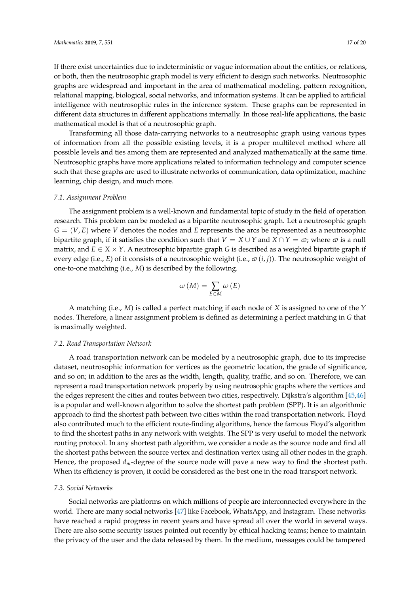If there exist uncertainties due to indeterministic or vague information about the entities, or relations, or both, then the neutrosophic graph model is very efficient to design such networks. Neutrosophic graphs are widespread and important in the area of mathematical modeling, pattern recognition, relational mapping, biological, social networks, and information systems. It can be applied to artificial intelligence with neutrosophic rules in the inference system. These graphs can be represented in different data structures in different applications internally. In those real-life applications, the basic mathematical model is that of a neutrosophic graph.

Transforming all those data-carrying networks to a neutrosophic graph using various types of information from all the possible existing levels, it is a proper multilevel method where all possible levels and ties among them are represented and analyzed mathematically at the same time. Neutrosophic graphs have more applications related to information technology and computer science such that these graphs are used to illustrate networks of communication, data optimization, machine learning, chip design, and much more.

#### *7.1. Assignment Problem*

The assignment problem is a well-known and fundamental topic of study in the field of operation research. This problem can be modeled as a bipartite neutrosophic graph. Let a neutrosophic graph  $G = (V, E)$  where *V* denotes the nodes and *E* represents the arcs be represented as a neutrosophic bipartite graph, if it satisfies the condition such that  $V = X \cup Y$  and  $X \cap Y = \omega$ ; where  $\omega$  is a null matrix, and  $E \in X \times Y$ . A neutrosophic bipartite graph *G* is described as a weighted bipartite graph if every edge (i.e., *E*) of it consists of a neutrosophic weight (i.e.,  $\varphi$  (*i*, *j*)). The neutrosophic weight of one-to-one matching (i.e., *M*) is described by the following.

$$
\omega\left(M\right)=\sum_{E\in M}\omega\left(E\right)
$$

A matching (i.e., *M*) is called a perfect matching if each node of *X* is assigned to one of the *Y* nodes. Therefore, a linear assignment problem is defined as determining a perfect matching in *G* that is maximally weighted.

#### *7.2. Road Transportation Network*

A road transportation network can be modeled by a neutrosophic graph, due to its imprecise dataset, neutrosophic information for vertices as the geometric location, the grade of significance, and so on; in addition to the arcs as the width, length, quality, traffic, and so on. Therefore, we can represent a road transportation network properly by using neutrosophic graphs where the vertices and the edges represent the cities and routes between two cities, respectively. Dijkstra's algorithm [\[45](#page-19-15)[,46\]](#page-19-16) is a popular and well-known algorithm to solve the shortest path problem (SPP). It is an algorithmic approach to find the shortest path between two cities within the road transportation network. Floyd also contributed much to the efficient route-finding algorithms, hence the famous Floyd's algorithm to find the shortest paths in any network with weights. The SPP is very useful to model the network routing protocol. In any shortest path algorithm, we consider a node as the source node and find all the shortest paths between the source vertex and destination vertex using all other nodes in the graph. Hence, the proposed *dm*-degree of the source node will pave a new way to find the shortest path. When its efficiency is proven, it could be considered as the best one in the road transport network.

#### *7.3. Social Networks*

Social networks are platforms on which millions of people are interconnected everywhere in the world. There are many social networks [\[47\]](#page-19-17) like Facebook, WhatsApp, and Instagram. These networks have reached a rapid progress in recent years and have spread all over the world in several ways. There are also some security issues pointed out recently by ethical hacking teams; hence to maintain the privacy of the user and the data released by them. In the medium, messages could be tampered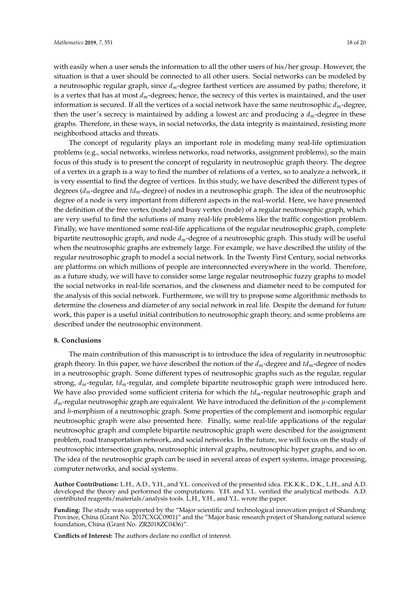with easily when a user sends the information to all the other users of his/her group. However, the situation is that a user should be connected to all other users. Social networks can be modeled by a neutrosophic regular graph, since *dm*-degree farthest vertices are assumed by paths; therefore, it is a vertex that has at most *dm*-degrees; hence, the secrecy of this vertex is maintained, and the user information is secured. If all the vertices of a social network have the same neutrosophic *dm*-degree, then the user's secrecy is maintained by adding a lowest arc and producing a *dm*-degree in these graphs. Therefore, in these ways, in social networks, the data integrity is maintained, resisting more neighborhood attacks and threats.

The concept of regularity plays an important role in modeling many real-life optimization problems (e.g., social networks, wireless networks, road networks, assignment problems), so the main focus of this study is to present the concept of regularity in neutrosophic graph theory. The degree of a vertex in a graph is a way to find the number of relations of a vertex, so to analyze a network, it is very essential to find the degree of vertices. In this study, we have described the different types of degrees (*dm*-degree and *tdm*-degree) of nodes in a neutrosophic graph. The idea of the neutrosophic degree of a node is very important from different aspects in the real-world. Here, we have presented the definition of the free vertex (node) and busy vertex (node) of a regular neutrosophic graph, which are very useful to find the solutions of many real-life problems like the traffic congestion problem. Finally, we have mentioned some real-life applications of the regular neutrosophic graph, complete bipartite neutrosophic graph, and node *dm*-degree of a neutrosophic graph. This study will be useful when the neutrosophic graphs are extremely large. For example, we have described the utility of the regular neutrosophic graph to model a social network. In the Twenty First Century, social networks are platforms on which millions of people are interconnected everywhere in the world. Therefore, as a future study, we will have to consider some large regular neutrosophic fuzzy graphs to model the social networks in real-life scenarios, and the closeness and diameter need to be computed for the analysis of this social network. Furthermore, we will try to propose some algorithmic methods to determine the closeness and diameter of any social network in real life. Despite the demand for future work, this paper is a useful initial contribution to neutrosophic graph theory, and some problems are described under the neutrosophic environment.

## **8. Conclusions**

The main contribution of this manuscript is to introduce the idea of regularity in neutrosophic graph theory. In this paper, we have described the notion of the *dm*-degree and *tdm*-degree of nodes in a neutrosophic graph. Some different types of neutrosophic graphs such as the regular, regular strong, *dm*-regular, *tdm*-regular, and complete bipartite neutrosophic graph were introduced here. We have also provided some sufficient criteria for which the *tdm*-regular neutrosophic graph and *dm*-regular neutrosophic graph are equivalent. We have introduced the definition of the *µ*-complement and *h*-morphism of a neutrosophic graph. Some properties of the complement and isomorphic regular neutrosophic graph were also presented here. Finally, some real-life applications of the regular neutrosophic graph and complete bipartite neutrosophic graph were described for the assignment problem, road transportation network, and social networks. In the future, we will focus on the study of neutrosophic intersection graphs, neutrosophic interval graphs, neutrosophic hyper graphs, and so on. The idea of the neutrosophic graph can be used in several areas of expert systems, image processing, computer networks, and social systems.

**Author Contributions:** L.H., A.D., Y.H., and Y.L. conceived of the presented idea. P.K.K.K., D.K., L.H., and A.D. developed the theory and performed the computations. Y.H. and Y.L. verified the analytical methods. A.D. contributed reagents/materials/analysis tools. L.H., Y.H., and Y.L. wrote the paper.

**Funding:** The study was supported by the "Major scientific and technological innovation project of Shandong Province, China (Grant No. 2017CXGC0901)" and the "Major basic research project of Shandong natural science foundation, China (Grant No. ZR2018ZC0436)".

**Conflicts of Interest:** The authors declare no conflict of interest.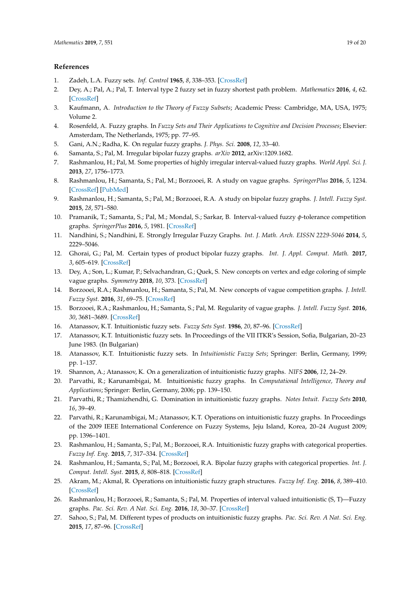# **References**

- <span id="page-18-0"></span>1. Zadeh, L.A. Fuzzy sets. *Inf. Control* **1965**, *8*, 338–353. [\[CrossRef\]](http://dx.doi.org/10.1016/S0019-9958(65)90241-X)
- <span id="page-18-1"></span>2. Dey, A.; Pal, A.; Pal, T. Interval type 2 fuzzy set in fuzzy shortest path problem. *Mathematics* **2016**, *4*, 62. [\[CrossRef\]](http://dx.doi.org/10.3390/math4040062)
- <span id="page-18-2"></span>3. Kaufmann, A. *Introduction to the Theory of Fuzzy Subsets*; Academic Press: Cambridge, MA, USA, 1975; Volume 2.
- <span id="page-18-3"></span>4. Rosenfeld, A. Fuzzy graphs. In *Fuzzy Sets and Their Applications to Cognitive and Decision Processes*; Elsevier: Amsterdam, The Netherlands, 1975; pp. 77–95.
- <span id="page-18-4"></span>5. Gani, A.N.; Radha, K. On regular fuzzy graphs. *J. Phys. Sci.* **2008**, *12*, 33–40.
- <span id="page-18-5"></span>6. Samanta, S.; Pal, M. Irregular bipolar fuzzy graphs. *arXiv* **2012**, arXiv:1209.1682.
- <span id="page-18-6"></span>7. Rashmanlou, H.; Pal, M. Some properties of highly irregular interval-valued fuzzy graphs. *World Appl. Sci. J.* **2013**, *27*, 1756–1773.
- <span id="page-18-7"></span>8. Rashmanlou, H.; Samanta, S.; Pal, M.; Borzooei, R. A study on vague graphs. *SpringerPlus* **2016**, *5*, 1234. [\[CrossRef\]](http://dx.doi.org/10.1186/s40064-016-2892-z) [\[PubMed\]](http://www.ncbi.nlm.nih.gov/pubmed/27536517)
- <span id="page-18-8"></span>9. Rashmanlou, H.; Samanta, S.; Pal, M.; Borzooei, R.A. A study on bipolar fuzzy graphs. *J. Intell. Fuzzy Syst.* **2015**, *28*, 571–580.
- <span id="page-18-9"></span>10. Pramanik, T.; Samanta, S.; Pal, M.; Mondal, S.; Sarkar, B. Interval-valued fuzzy *φ*-tolerance competition graphs. *SpringerPlus* **2016**, *5*, 1981. [\[CrossRef\]](http://dx.doi.org/10.1186/s40064-016-3463-z)
- <span id="page-18-10"></span>11. Nandhini, S.; Nandhini, E. Strongly Irregular Fuzzy Graphs. *Int. J. Math. Arch. EISSN 2229-5046* **2014**, *5*, 2229–5046.
- <span id="page-18-11"></span>12. Ghorai, G.; Pal, M. Certain types of product bipolar fuzzy graphs. *Int. J. Appl. Comput. Math.* **2017**, *3*, 605–619. [\[CrossRef\]](http://dx.doi.org/10.1007/s40819-015-0112-0)
- <span id="page-18-12"></span>13. Dey, A.; Son, L.; Kumar, P.; Selvachandran, G.; Quek, S. New concepts on vertex and edge coloring of simple vague graphs. *Symmetry* **2018**, *10*, 373. [\[CrossRef\]](http://dx.doi.org/10.3390/sym10090373)
- <span id="page-18-13"></span>14. Borzooei, R.A.; Rashmanlou, H.; Samanta, S.; Pal, M. New concepts of vague competition graphs. *J. Intell. Fuzzy Syst.* **2016**, *31*, 69–75. [\[CrossRef\]](http://dx.doi.org/10.3233/IFS-162121)
- <span id="page-18-14"></span>15. Borzooei, R.A.; Rashmanlou, H.; Samanta, S.; Pal, M. Regularity of vague graphs. *J. Intell. Fuzzy Syst.* **2016**, *30*, 3681–3689. [\[CrossRef\]](http://dx.doi.org/10.3233/IFS-162114)
- <span id="page-18-15"></span>16. Atanassov, K.T. Intuitionistic fuzzy sets. *Fuzzy Sets Syst.* **1986**, *20*, 87–96. [\[CrossRef\]](http://dx.doi.org/10.1016/S0165-0114(86)80034-3)
- 17. Atanassov, K.T. Intuitionistic fuzzy sets. In Proceedings of the VII ITKR's Session, Sofia, Bulgarian, 20–23 June 1983. (In Bulgarian)
- <span id="page-18-16"></span>18. Atanassov, K.T. Intuitionistic fuzzy sets. In *Intuitionistic Fuzzy Sets*; Springer: Berlin, Germany, 1999; pp. 1–137.
- <span id="page-18-17"></span>19. Shannon, A.; Atanassov, K. On a generalization of intuitionistic fuzzy graphs. *NIFS* **2006**, *12*, 24–29.
- <span id="page-18-18"></span>20. Parvathi, R.; Karunambigai, M. Intuitionistic fuzzy graphs. In *Computational Intelligence, Theory and Applications*; Springer: Berlin, Germany, 2006; pp. 139–150.
- 21. Parvathi, R.; Thamizhendhi, G. Domination in intuitionistic fuzzy graphs. *Notes Intuit. Fuzzy Sets* **2010**, *16*, 39–49.
- <span id="page-18-19"></span>22. Parvathi, R.; Karunambigai, M.; Atanassov, K.T. Operations on intuitionistic fuzzy graphs. In Proceedings of the 2009 IEEE International Conference on Fuzzy Systems, Jeju Island, Korea, 20–24 August 2009; pp. 1396–1401.
- <span id="page-18-20"></span>23. Rashmanlou, H.; Samanta, S.; Pal, M.; Borzooei, R.A. Intuitionistic fuzzy graphs with categorical properties. *Fuzzy Inf. Eng.* **2015**, *7*, 317–334. [\[CrossRef\]](http://dx.doi.org/10.1016/j.fiae.2015.09.005)
- <span id="page-18-21"></span>24. Rashmanlou, H.; Samanta, S.; Pal, M.; Borzooei, R.A. Bipolar fuzzy graphs with categorical properties. *Int. J. Comput. Intell. Syst.* **2015**, *8*, 808–818. [\[CrossRef\]](http://dx.doi.org/10.1080/18756891.2015.1063243)
- 25. Akram, M.; Akmal, R. Operations on intuitionistic fuzzy graph structures. *Fuzzy Inf. Eng.* **2016**, *8*, 389–410. [\[CrossRef\]](http://dx.doi.org/10.1016/j.fiae.2017.01.001)
- 26. Rashmanlou, H.; Borzooei, R.; Samanta, S.; Pal, M. Properties of interval valued intuitionistic (S, T)—Fuzzy graphs. *Pac. Sci. Rev. A Nat. Sci. Eng.* **2016**, *18*, 30–37. [\[CrossRef\]](http://dx.doi.org/10.1016/j.psra.2016.06.003)
- <span id="page-18-22"></span>27. Sahoo, S.; Pal, M. Different types of products on intuitionistic fuzzy graphs. *Pac. Sci. Rev. A Nat. Sci. Eng.* **2015**, *17*, 87–96. [\[CrossRef\]](http://dx.doi.org/10.1016/j.psra.2015.12.007)